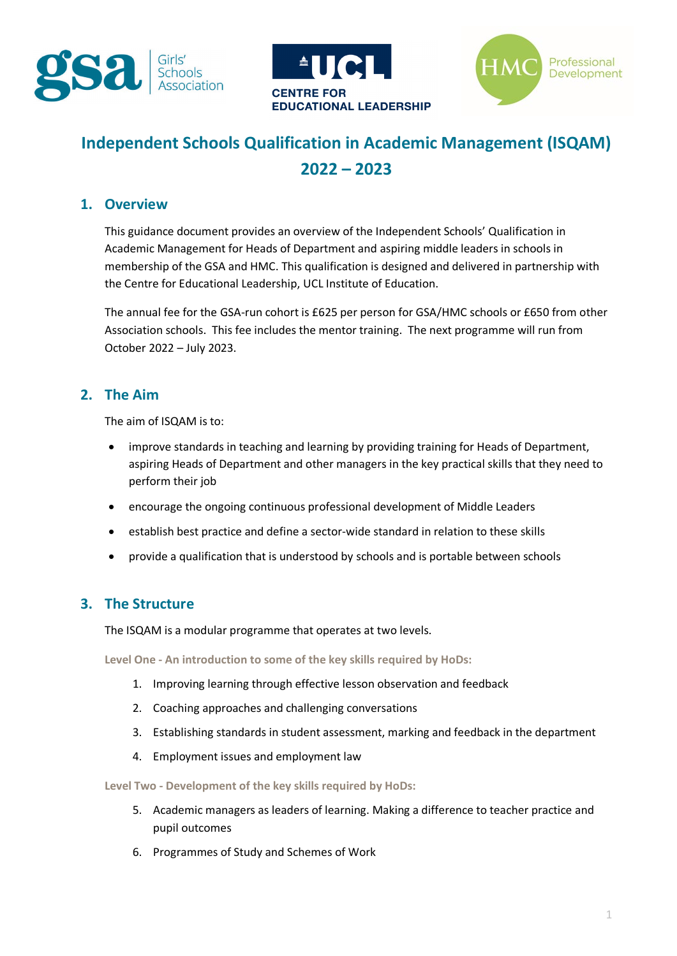





# **Independent Schools Qualification in Academic Management (ISQAM) 2022 – 2023**

# **1. Overview**

This guidance document provides an overview of the Independent Schools' Qualification in Academic Management for Heads of Department and aspiring middle leaders in schools in membership of the GSA and HMC. This qualification is designed and delivered in partnership with the Centre for Educational Leadership, UCL Institute of Education.

The annual fee for the GSA-run cohort is £625 per person for GSA/HMC schools or £650 from other Association schools. This fee includes the mentor training. The next programme will run from October 2022 – July 2023.

# **2. The Aim**

The aim of ISQAM is to:

- improve standards in teaching and learning by providing training for Heads of Department, aspiring Heads of Department and other managers in the key practical skills that they need to perform their job
- encourage the ongoing continuous professional development of Middle Leaders
- establish best practice and define a sector-wide standard in relation to these skills
- provide a qualification that is understood by schools and is portable between schools

# **3. The Structure**

The ISQAM is a modular programme that operates at two levels.

**Level One - An introduction to some of the key skills required by HoDs:** 

- 1. Improving learning through effective lesson observation and feedback
- 2. Coaching approaches and challenging conversations
- 3. Establishing standards in student assessment, marking and feedback in the department
- 4. Employment issues and employment law

**Level Two - Development of the key skills required by HoDs:** 

- 5. Academic managers as leaders of learning. Making a difference to teacher practice and pupil outcomes
- 6. Programmes of Study and Schemes of Work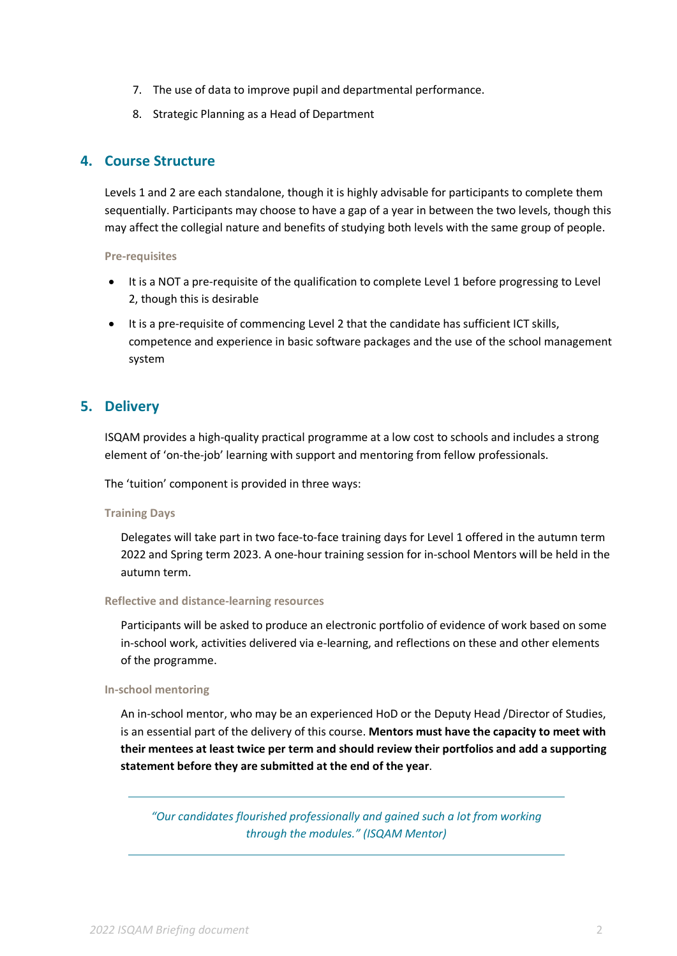- 7. The use of data to improve pupil and departmental performance.
- 8. Strategic Planning as a Head of Department

# **4. Course Structure**

Levels 1 and 2 are each standalone, though it is highly advisable for participants to complete them sequentially. Participants may choose to have a gap of a year in between the two levels, though this may affect the collegial nature and benefits of studying both levels with the same group of people.

### **Pre-requisites**

- It is a NOT a pre-requisite of the qualification to complete Level 1 before progressing to Level 2, though this is desirable
- It is a pre-requisite of commencing Level 2 that the candidate has sufficient ICT skills, competence and experience in basic software packages and the use of the school management system

# **5. Delivery**

ISQAM provides a high-quality practical programme at a low cost to schools and includes a strong element of 'on-the-job' learning with support and mentoring from fellow professionals.

The 'tuition' component is provided in three ways:

### **Training Days**

Delegates will take part in two face-to-face training days for Level 1 offered in the autumn term 2022 and Spring term 2023. A one-hour training session for in-school Mentors will be held in the autumn term.

### **Reflective and distance-learning resources**

Participants will be asked to produce an electronic portfolio of evidence of work based on some in-school work, activities delivered via e-learning, and reflections on these and other elements of the programme.

### **In-school mentoring**

An in-school mentor, who may be an experienced HoD or the Deputy Head /Director of Studies, is an essential part of the delivery of this course. **Mentors must have the capacity to meet with their mentees at least twice per term and should review their portfolios and add a supporting statement before they are submitted at the end of the year**.

*"Our candidates flourished professionally and gained such a lot from working through the modules." (ISQAM Mentor)*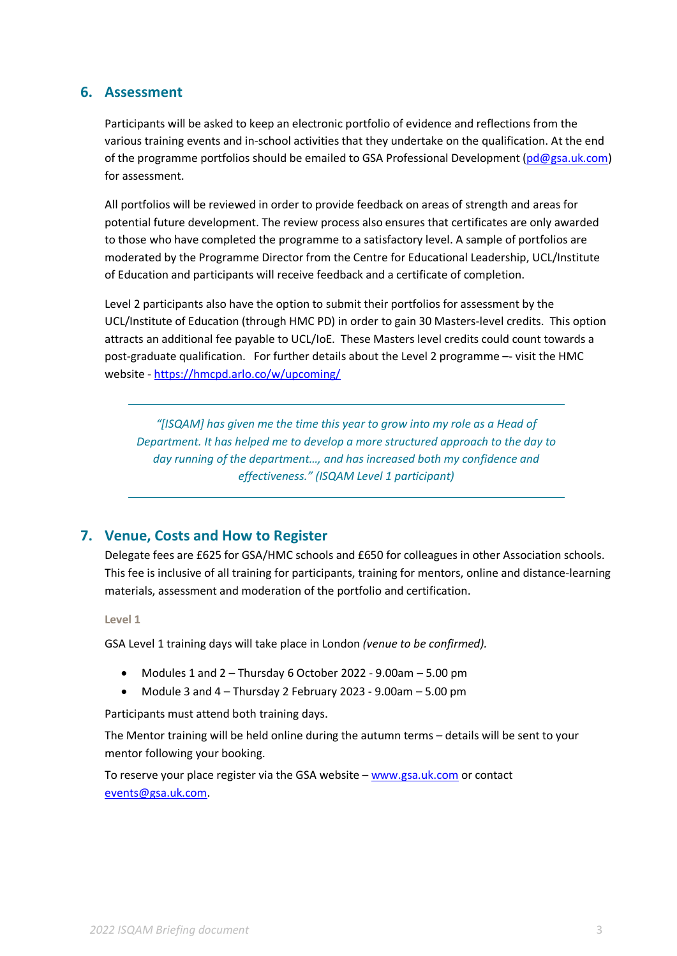# **6. Assessment**

Participants will be asked to keep an electronic portfolio of evidence and reflections from the various training events and in-school activities that they undertake on the qualification. At the end of the programme portfolios should be emailed to GSA Professional Development [\(pd@gsa.uk.com\)](mailto:pd@gsa.uk.com) for assessment.

All portfolios will be reviewed in order to provide feedback on areas of strength and areas for potential future development. The review process also ensures that certificates are only awarded to those who have completed the programme to a satisfactory level. A sample of portfolios are moderated by the Programme Director from the Centre for Educational Leadership, UCL/Institute of Education and participants will receive feedback and a certificate of completion.

Level 2 participants also have the option to submit their portfolios for assessment by the UCL/Institute of Education (through HMC PD) in order to gain 30 Masters-level credits. This option attracts an additional fee payable to UCL/IoE. These Masters level credits could count towards a post-graduate qualification. For further details about the Level 2 programme –- visit the HMC website [- https://hmcpd.arlo.co/w/upcoming/](https://hmcpd.arlo.co/w/upcoming/) 

*"[ISQAM] has given me the time this year to grow into my role as a Head of Department. It has helped me to develop a more structured approach to the day to day running of the department…, and has increased both my confidence and effectiveness." (ISQAM Level 1 participant)*

# **7. Venue, Costs and How to Register**

Delegate fees are £625 for GSA/HMC schools and £650 for colleagues in other Association schools. This fee is inclusive of all training for participants, training for mentors, online and distance-learning materials, assessment and moderation of the portfolio and certification.

**Level 1**

GSA Level 1 training days will take place in London *(venue to be confirmed).*

- Modules 1 and 2 Thursday 6 October 2022 9.00am 5.00 pm
- Module 3 and 4 Thursday 2 February 2023 9.00am 5.00 pm

Participants must attend both training days.

The Mentor training will be held online during the autumn terms – details will be sent to your mentor following your booking.

To reserve your place register via the GSA website - www.gsa.uk.com or contact [events@gsa.uk.com.](mailto:events@gsa.uk.com)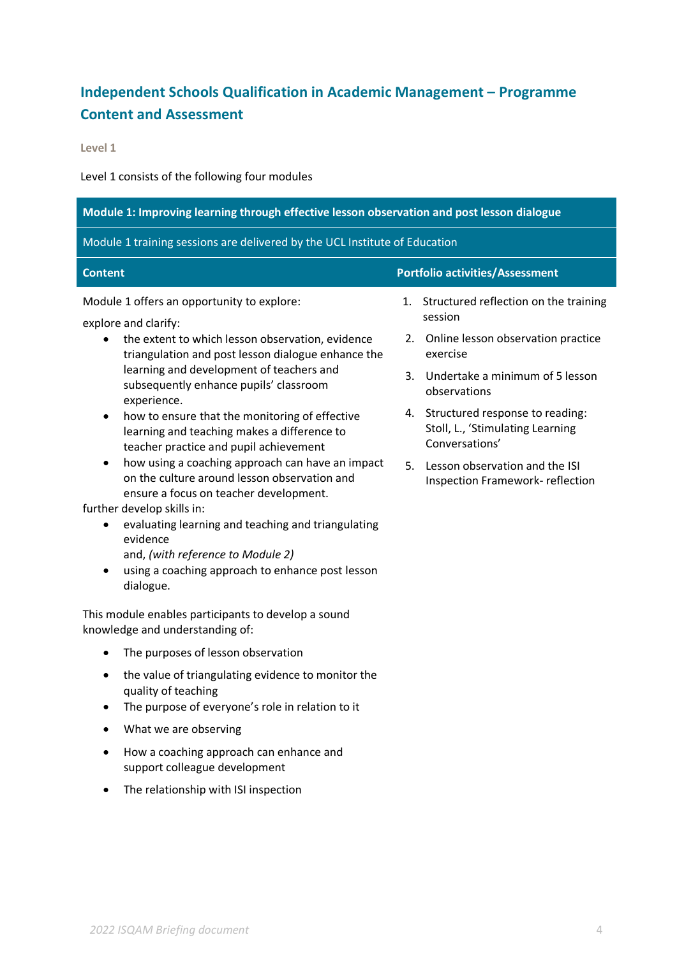# **Independent Schools Qualification in Academic Management – Programme Content and Assessment**

**Level 1** 

Level 1 consists of the following four modules

| Module 1: Improving learning through effective lesson observation and post lesson dialogue                                                                                                                                                                                                                                                                                                                                                                                                                                                                                                                                                                                                        |                                                                                                                                                                                                                                                                                                                                                   |  |
|---------------------------------------------------------------------------------------------------------------------------------------------------------------------------------------------------------------------------------------------------------------------------------------------------------------------------------------------------------------------------------------------------------------------------------------------------------------------------------------------------------------------------------------------------------------------------------------------------------------------------------------------------------------------------------------------------|---------------------------------------------------------------------------------------------------------------------------------------------------------------------------------------------------------------------------------------------------------------------------------------------------------------------------------------------------|--|
| Module 1 training sessions are delivered by the UCL Institute of Education                                                                                                                                                                                                                                                                                                                                                                                                                                                                                                                                                                                                                        |                                                                                                                                                                                                                                                                                                                                                   |  |
| <b>Content</b>                                                                                                                                                                                                                                                                                                                                                                                                                                                                                                                                                                                                                                                                                    | <b>Portfolio activities/Assessment</b>                                                                                                                                                                                                                                                                                                            |  |
| Module 1 offers an opportunity to explore:<br>explore and clarify:<br>the extent to which lesson observation, evidence<br>triangulation and post lesson dialogue enhance the<br>learning and development of teachers and<br>subsequently enhance pupils' classroom<br>experience.<br>how to ensure that the monitoring of effective<br>$\bullet$<br>learning and teaching makes a difference to<br>teacher practice and pupil achievement<br>how using a coaching approach can have an impact<br>٠<br>on the culture around lesson observation and<br>ensure a focus on teacher development.<br>further develop skills in:<br>evaluating learning and teaching and triangulating<br>٠<br>evidence | Structured reflection on the training<br>1.<br>session<br>Online lesson observation practice<br>2.<br>exercise<br>Undertake a minimum of 5 lesson<br>3.<br>observations<br>Structured response to reading:<br>4.<br>Stoll, L., 'Stimulating Learning<br>Conversations'<br>Lesson observation and the ISI<br>5.<br>Inspection Framework-reflection |  |
| and, (with reference to Module 2)<br>using a coaching approach to enhance post lesson<br>dialogue.<br>This module enables participants to develop a sound<br>knowledge and understanding of:                                                                                                                                                                                                                                                                                                                                                                                                                                                                                                      |                                                                                                                                                                                                                                                                                                                                                   |  |
| The purposes of lesson observation<br>$\bullet$                                                                                                                                                                                                                                                                                                                                                                                                                                                                                                                                                                                                                                                   |                                                                                                                                                                                                                                                                                                                                                   |  |
| the value of triangulating evidence to monitor the<br>quality of teaching<br>The purpose of everyone's role in relation to it                                                                                                                                                                                                                                                                                                                                                                                                                                                                                                                                                                     |                                                                                                                                                                                                                                                                                                                                                   |  |
| What we are observing                                                                                                                                                                                                                                                                                                                                                                                                                                                                                                                                                                                                                                                                             |                                                                                                                                                                                                                                                                                                                                                   |  |
| How a coaching approach can enhance and<br>support colleague development                                                                                                                                                                                                                                                                                                                                                                                                                                                                                                                                                                                                                          |                                                                                                                                                                                                                                                                                                                                                   |  |
| The relationship with ISI inspection                                                                                                                                                                                                                                                                                                                                                                                                                                                                                                                                                                                                                                                              |                                                                                                                                                                                                                                                                                                                                                   |  |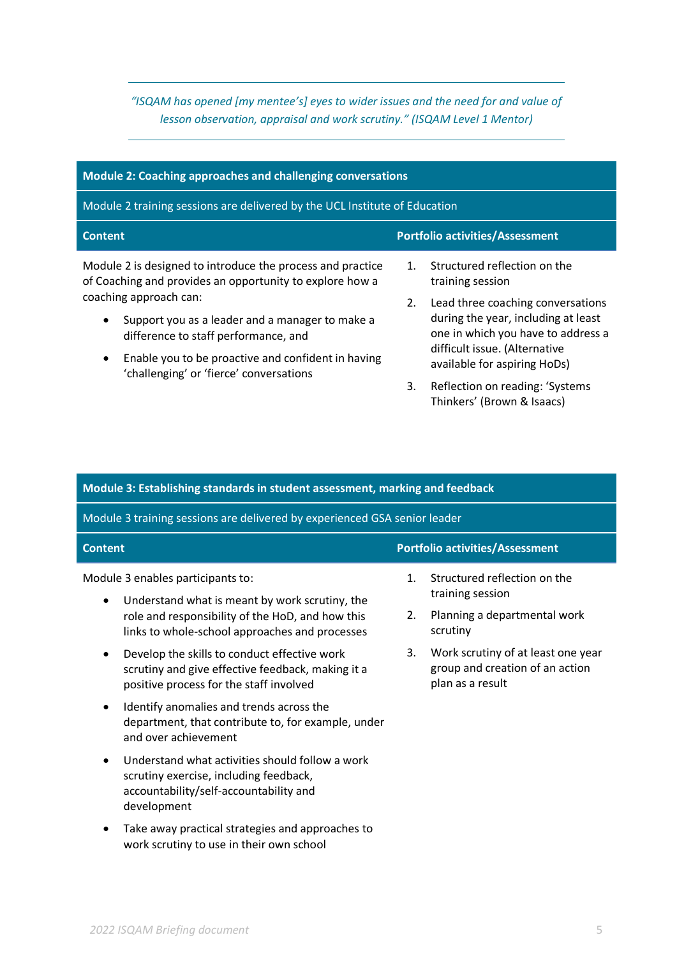*"ISQAM has opened [my mentee's] eyes to wider issues and the need for and value of lesson observation, appraisal and work scrutiny." (ISQAM Level 1 Mentor)*

| Module 2: Coaching approaches and challenging conversations                                                            |                                                               |                                                                           |
|------------------------------------------------------------------------------------------------------------------------|---------------------------------------------------------------|---------------------------------------------------------------------------|
| Module 2 training sessions are delivered by the UCL Institute of Education                                             |                                                               |                                                                           |
| <b>Content</b>                                                                                                         |                                                               | <b>Portfolio activities/Assessment</b>                                    |
| Module 2 is designed to introduce the process and practice<br>of Coaching and provides an opportunity to explore how a | $\mathbf{1}$ .                                                | Structured reflection on the<br>training session                          |
| coaching approach can:                                                                                                 | 2.                                                            | Lead three coaching conversations                                         |
| Support you as a leader and a manager to make a<br>$\bullet$<br>difference to staff performance, and                   |                                                               | during the year, including at least<br>one in which you have to address a |
| Enable you to be proactive and confident in having<br>$\bullet$<br>'challenging' or 'fierce' conversations             | difficult issue. (Alternative<br>available for aspiring HoDs) |                                                                           |
|                                                                                                                        | 3.                                                            | Reflection on reading: 'Systems                                           |

| Module 3: Establishing standards in student assessment, marking and feedback |  |
|------------------------------------------------------------------------------|--|
|------------------------------------------------------------------------------|--|

Module 3 training sessions are delivered by experienced GSA senior leader

#### **Content Portfolio activities/Assessment**

Module 3 enables participants to:

- Understand what is meant by work scrutiny, the role and responsibility of the HoD, and how this links to whole-school approaches and processes
- Develop the skills to conduct effective work scrutiny and give effective feedback, making it a positive process for the staff involved
- Identify anomalies and trends across the department, that contribute to, for example, under and over achievement
- Understand what activities should follow a work scrutiny exercise, including feedback, accountability/self-accountability and development
- Take away practical strategies and approaches to work scrutiny to use in their own school

| 1. Structured reflection on the |
|---------------------------------|
| training session                |

Thinkers' (Brown & Isaacs)

- 2. Planning a departmental work scrutiny
- 3. Work scrutiny of at least one year group and creation of an action plan as a result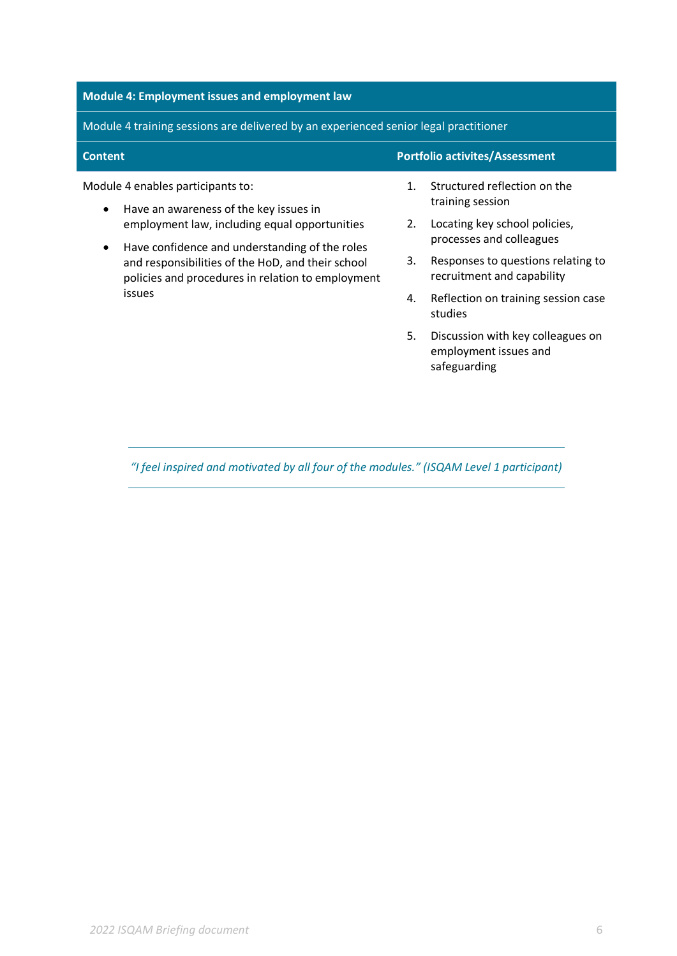# **Module 4: Employment issues and employment law**

Module 4 training sessions are delivered by an experienced senior legal practitioner

| <b>Content</b> | Portfolio activites/Assessment |
|----------------|--------------------------------|
|                |                                |

Module 4 enables participants to:

- Have an awareness of the key issues in employment law, including equal opportunities
- Have confidence and understanding of the roles and responsibilities of the HoD, and their school policies and procedures in relation to employment issues

1. Structured reflection on the training session

- 2. Locating key school policies, processes and colleagues
- 3. Responses to questions relating to recruitment and capability
- 4. Reflection on training session case studies
- 5. Discussion with key colleagues on employment issues and safeguarding

*"I feel inspired and motivated by all four of the modules." (ISQAM Level 1 participant)*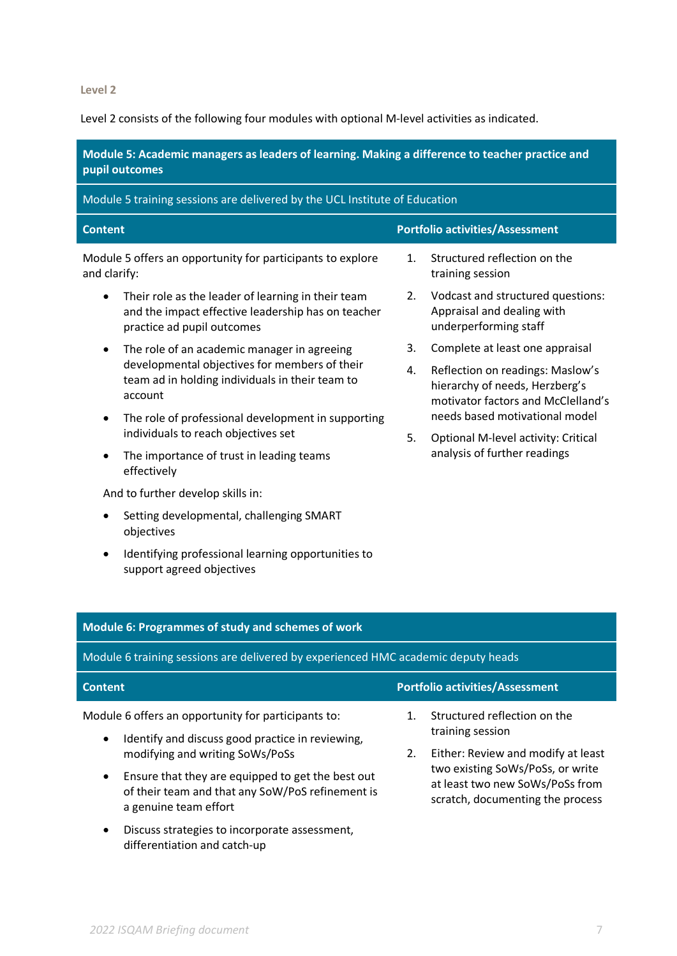**Level 2** 

Level 2 consists of the following four modules with optional M-level activities as indicated.

**Module 5: Academic managers as leaders of learning. Making a difference to teacher practice and pupil outcomes**

| Module 5 training sessions are delivered by the UCL Institute of Education                                                                                              |                |                                                                                                          |
|-------------------------------------------------------------------------------------------------------------------------------------------------------------------------|----------------|----------------------------------------------------------------------------------------------------------|
| <b>Content</b>                                                                                                                                                          |                | <b>Portfolio activities/Assessment</b>                                                                   |
| Module 5 offers an opportunity for participants to explore<br>and clarify:                                                                                              | $\mathbf{1}$ . | Structured reflection on the<br>training session                                                         |
| Their role as the leader of learning in their team<br>$\bullet$<br>and the impact effective leadership has on teacher<br>practice ad pupil outcomes                     | 2.             | Vodcast and structured questions:<br>Appraisal and dealing with<br>underperforming staff                 |
| The role of an academic manager in agreeing<br>$\bullet$<br>developmental objectives for members of their<br>team ad in holding individuals in their team to<br>account | 3.             | Complete at least one appraisal                                                                          |
|                                                                                                                                                                         | 4.             | Reflection on readings: Maslow's<br>hierarchy of needs, Herzberg's<br>motivator factors and McClelland's |
| The role of professional development in supporting<br>$\bullet$<br>individuals to reach objectives set                                                                  |                | needs based motivational model                                                                           |
|                                                                                                                                                                         | 5.             | Optional M-level activity: Critical                                                                      |
| The importance of trust in leading teams<br>$\bullet$<br>effectively                                                                                                    |                | analysis of further readings                                                                             |
| And to further develop skills in:                                                                                                                                       |                |                                                                                                          |

- Setting developmental, challenging SMART objectives
- Identifying professional learning opportunities to support agreed objectives

## **Module 6: Programmes of study and schemes of work** Module 6 training sessions are delivered by experienced HMC academic deputy heads **Content Portfolio activities/Assessment** Module 6 offers an opportunity for participants to: • Identify and discuss good practice in reviewing, modifying and writing SoWs/PoSs • Ensure that they are equipped to get the best out of their team and that any SoW/PoS refinement is a genuine team effort 1. Structured reflection on the training session 2. Either: Review and modify at least two existing SoWs/PoSs, or write at least two new SoWs/PoSs from scratch, documenting the process

• Discuss strategies to incorporate assessment, differentiation and catch-up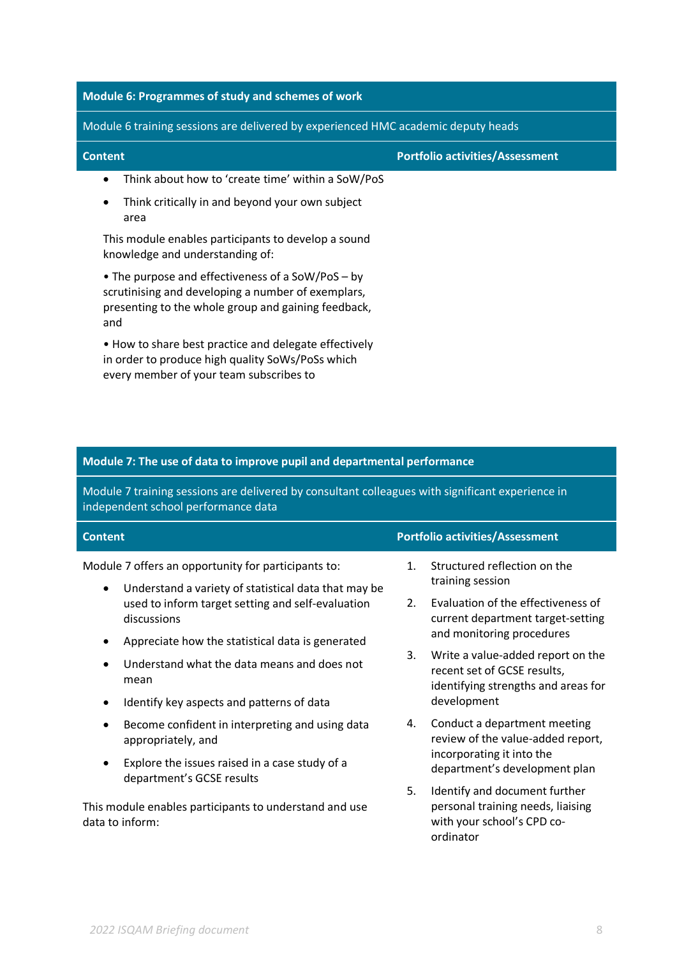# **Module 6: Programmes of study and schemes of work**

in order to produce high quality SoWs/PoSs which

every member of your team subscribes to

Module 6 training sessions are delivered by experienced HMC academic deputy heads

| <b>Content</b>                                                                                                                                                        | <b>Portfolio activities/Assessment</b> |
|-----------------------------------------------------------------------------------------------------------------------------------------------------------------------|----------------------------------------|
| Think about how to 'create time' within a SoW/PoS<br>$\bullet$                                                                                                        |                                        |
| Think critically in and beyond your own subject<br>٠<br>area                                                                                                          |                                        |
| This module enables participants to develop a sound<br>knowledge and understanding of:                                                                                |                                        |
| • The purpose and effectiveness of a SoW/PoS – by<br>scrutinising and developing a number of exemplars,<br>presenting to the whole group and gaining feedback,<br>and |                                        |
| • How to share best practice and delegate effectively                                                                                                                 |                                        |

**Module 7: The use of data to improve pupil and departmental performance**

Module 7 training sessions are delivered by consultant colleagues with significant experience in independent school performance data

| <b>Content</b>                                                                                                           | <b>Portfolio activities/Assessment</b>                                                                              |
|--------------------------------------------------------------------------------------------------------------------------|---------------------------------------------------------------------------------------------------------------------|
| Module 7 offers an opportunity for participants to:<br>Understand a variety of statistical data that may be<br>$\bullet$ | Structured reflection on the<br>$\mathbf{1}$ .<br>training session                                                  |
| used to inform target setting and self-evaluation<br>discussions                                                         | Evaluation of the effectiveness of<br>2.<br>current department target-setting                                       |
| Appreciate how the statistical data is generated                                                                         | and monitoring procedures                                                                                           |
| Understand what the data means and does not<br>mean                                                                      | 3.<br>Write a value-added report on the<br>recent set of GCSE results,<br>identifying strengths and areas for       |
| Identify key aspects and patterns of data<br>٠                                                                           | development                                                                                                         |
| Become confident in interpreting and using data<br>appropriately, and                                                    | Conduct a department meeting<br>4.<br>review of the value-added report,                                             |
| Explore the issues raised in a case study of a<br>$\bullet$<br>department's GCSE results                                 | incorporating it into the<br>department's development plan                                                          |
| This module enables participants to understand and use<br>data to inform:                                                | 5.<br>Identify and document further<br>personal training needs, liaising<br>with your school's CPD co-<br>ordinator |